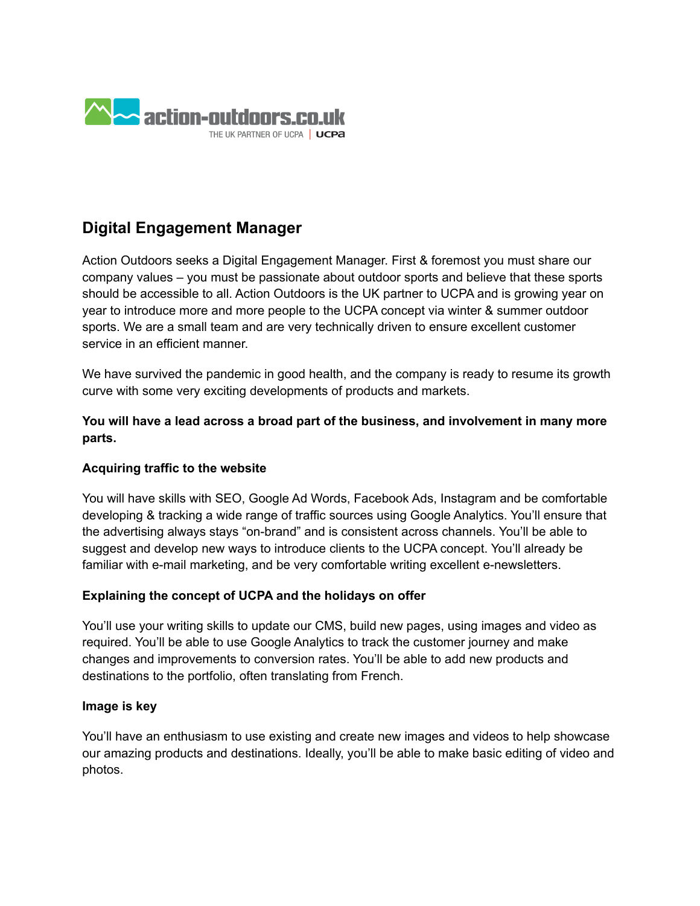

# **Digital Engagement Manager**

Action Outdoors seeks a Digital Engagement Manager. First & foremost you must share our company values – you must be passionate about outdoor sports and believe that these sports should be accessible to all. Action Outdoors is the UK partner to UCPA and is growing year on year to introduce more and more people to the UCPA concept via winter & summer outdoor sports. We are a small team and are very technically driven to ensure excellent customer service in an efficient manner.

We have survived the pandemic in good health, and the company is ready to resume its growth curve with some very exciting developments of products and markets.

**You will have a lead across a broad part of the business, and involvement in many more parts.**

### **Acquiring traffic to the website**

You will have skills with SEO, Google Ad Words, Facebook Ads, Instagram and be comfortable developing & tracking a wide range of traffic sources using Google Analytics. You'll ensure that the advertising always stays "on-brand" and is consistent across channels. You'll be able to suggest and develop new ways to introduce clients to the UCPA concept. You'll already be familiar with e-mail marketing, and be very comfortable writing excellent e-newsletters.

### **Explaining the concept of UCPA and the holidays on offer**

You'll use your writing skills to update our CMS, build new pages, using images and video as required. You'll be able to use Google Analytics to track the customer journey and make changes and improvements to conversion rates. You'll be able to add new products and destinations to the portfolio, often translating from French.

### **Image is key**

You'll have an enthusiasm to use existing and create new images and videos to help showcase our amazing products and destinations. Ideally, you'll be able to make basic editing of video and photos.